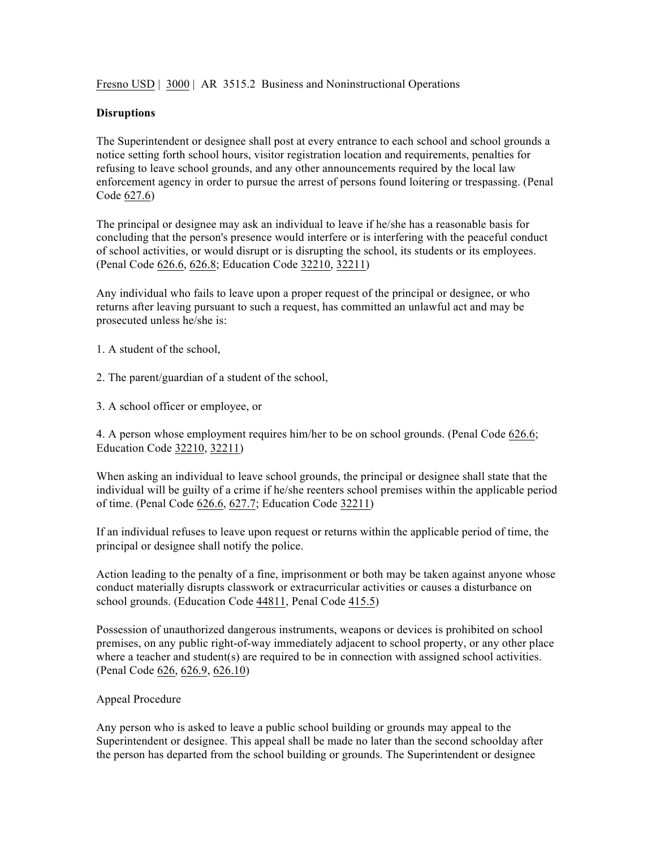Fresno USD | 3000 | AR 3515.2 Business and Noninstructional Operations

## **Disruptions**

The Superintendent or designee shall post at every entrance to each school and school grounds a notice setting forth school hours, visitor registration location and requirements, penalties for refusing to leave school grounds, and any other announcements required by the local law enforcement agency in order to pursue the arrest of persons found loitering or trespassing. (Penal Code 627.6)

The principal or designee may ask an individual to leave if he/she has a reasonable basis for concluding that the person's presence would interfere or is interfering with the peaceful conduct of school activities, or would disrupt or is disrupting the school, its students or its employees. (Penal Code 626.6, 626.8; Education Code 32210, 32211)

Any individual who fails to leave upon a proper request of the principal or designee, or who returns after leaving pursuant to such a request, has committed an unlawful act and may be prosecuted unless he/she is:

1. A student of the school,

2. The parent/guardian of a student of the school,

3. A school officer or employee, or

4. A person whose employment requires him/her to be on school grounds. (Penal Code 626.6; Education Code 32210, 32211)

When asking an individual to leave school grounds, the principal or designee shall state that the individual will be guilty of a crime if he/she reenters school premises within the applicable period of time. (Penal Code 626.6, 627.7; Education Code 32211)

If an individual refuses to leave upon request or returns within the applicable period of time, the principal or designee shall notify the police.

Action leading to the penalty of a fine, imprisonment or both may be taken against anyone whose conduct materially disrupts classwork or extracurricular activities or causes a disturbance on school grounds. (Education Code 44811, Penal Code 415.5)

Possession of unauthorized dangerous instruments, weapons or devices is prohibited on school premises, on any public right-of-way immediately adjacent to school property, or any other place where a teacher and student(s) are required to be in connection with assigned school activities. (Penal Code 626, 626.9, 626.10)

## Appeal Procedure

Any person who is asked to leave a public school building or grounds may appeal to the Superintendent or designee. This appeal shall be made no later than the second schoolday after the person has departed from the school building or grounds. The Superintendent or designee